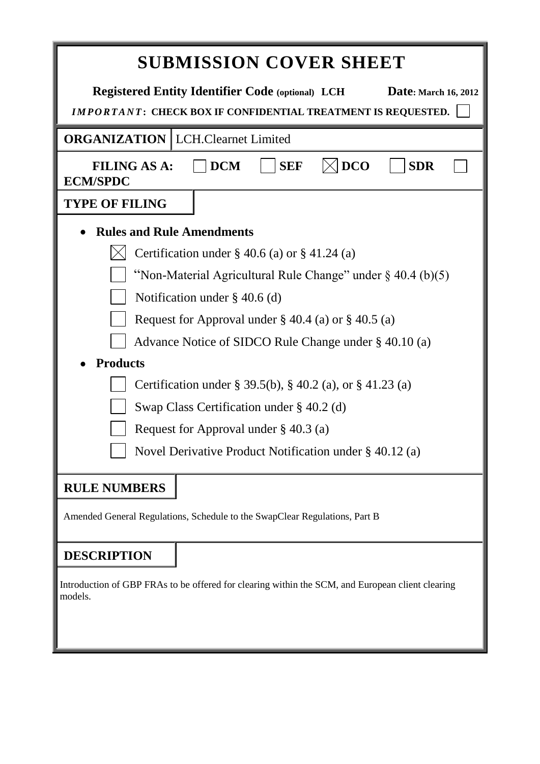|                                            | <b>SUBMISSION COVER SHEET</b>                                                                                                                   |  |  |  |  |  |
|--------------------------------------------|-------------------------------------------------------------------------------------------------------------------------------------------------|--|--|--|--|--|
|                                            | <b>Registered Entity Identifier Code (optional) LCH</b><br>Date: March 16, 2012<br>IMPORTANT: CHECK BOX IF CONFIDENTIAL TREATMENT IS REQUESTED. |  |  |  |  |  |
| <b>ORGANIZATION</b>   LCH.Clearnet Limited |                                                                                                                                                 |  |  |  |  |  |
| <b>FILING AS A:</b><br><b>ECM/SPDC</b>     | <b>DCO</b><br><b>DCM</b><br><b>SEF</b><br><b>SDR</b>                                                                                            |  |  |  |  |  |
| <b>TYPE OF FILING</b>                      |                                                                                                                                                 |  |  |  |  |  |
| <b>Rules and Rule Amendments</b>           |                                                                                                                                                 |  |  |  |  |  |
|                                            | Certification under $\S$ 40.6 (a) or $\S$ 41.24 (a)                                                                                             |  |  |  |  |  |
|                                            | "Non-Material Agricultural Rule Change" under $\S$ 40.4 (b)(5)                                                                                  |  |  |  |  |  |
|                                            | Notification under $\S$ 40.6 (d)                                                                                                                |  |  |  |  |  |
|                                            | Request for Approval under $\S$ 40.4 (a) or $\S$ 40.5 (a)                                                                                       |  |  |  |  |  |
|                                            | Advance Notice of SIDCO Rule Change under § 40.10 (a)                                                                                           |  |  |  |  |  |
| <b>Products</b>                            |                                                                                                                                                 |  |  |  |  |  |
|                                            | Certification under § 39.5(b), § 40.2 (a), or § 41.23 (a)                                                                                       |  |  |  |  |  |
|                                            | Swap Class Certification under $\S$ 40.2 (d)                                                                                                    |  |  |  |  |  |
|                                            | Request for Approval under $\S$ 40.3 (a)                                                                                                        |  |  |  |  |  |
|                                            | Novel Derivative Product Notification under § 40.12 (a)                                                                                         |  |  |  |  |  |
| <b>RULE NUMBERS</b>                        |                                                                                                                                                 |  |  |  |  |  |
|                                            | Amended General Regulations, Schedule to the SwapClear Regulations, Part B                                                                      |  |  |  |  |  |
| <b>DESCRIPTION</b>                         |                                                                                                                                                 |  |  |  |  |  |
| models.                                    | Introduction of GBP FRAs to be offered for clearing within the SCM, and European client clearing                                                |  |  |  |  |  |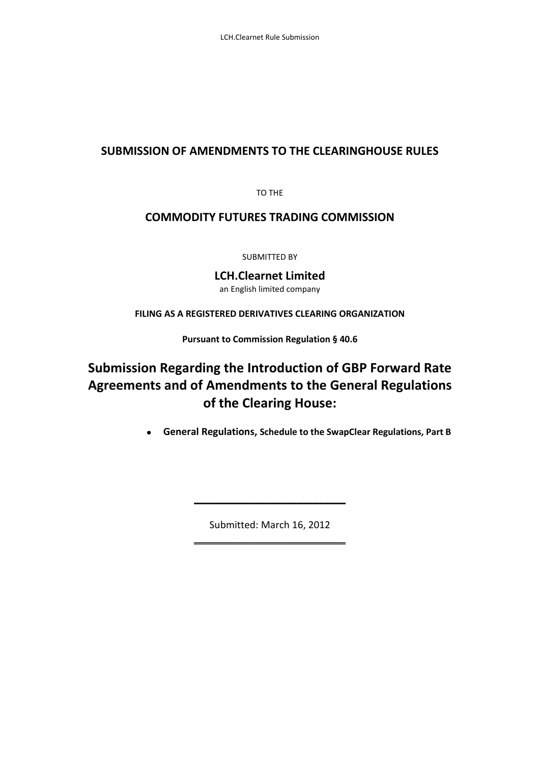## **SUBMISSION OF AMENDMENTS TO THE CLEARINGHOUSE RULES**

TO THE

## **COMMODITY FUTURES TRADING COMMISSION**

SUBMITTED BY

**LCH.Clearnet Limited** an English limited company

**FILING AS A REGISTERED DERIVATIVES CLEARING ORGANIZATION**

**Pursuant to Commission Regulation § 40.6**

# **Submission Regarding the Introduction of GBP Forward Rate Agreements and of Amendments to the General Regulations of the Clearing House:**

**General Regulations, Schedule to the SwapClear Regulations, Part B**   $\bullet$ 

> Submitted: March 16, 2012 \_\_\_\_\_\_\_\_\_\_\_\_\_\_\_\_\_\_\_\_\_\_\_\_\_\_\_\_

> \_\_\_\_\_\_\_\_\_\_\_\_\_\_\_\_\_\_\_\_\_\_\_\_\_\_\_\_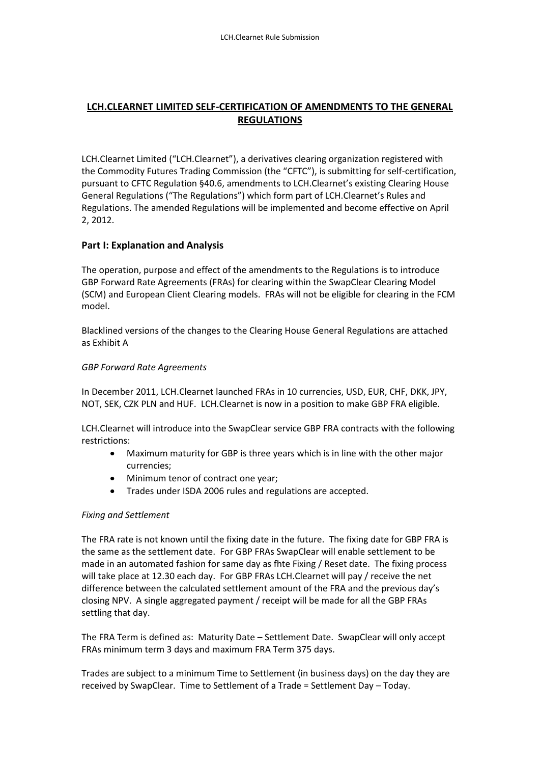## **LCH.CLEARNET LIMITED SELF-CERTIFICATION OF AMENDMENTS TO THE GENERAL REGULATIONS**

LCH.Clearnet Limited ("LCH.Clearnet"), a derivatives clearing organization registered with the Commodity Futures Trading Commission (the "CFTC"), is submitting for self-certification, pursuant to CFTC Regulation §40.6, amendments to LCH.Clearnet's existing Clearing House General Regulations ("The Regulations") which form part of LCH.Clearnet's Rules and Regulations. The amended Regulations will be implemented and become effective on April 2, 2012.

#### **Part I: Explanation and Analysis**

The operation, purpose and effect of the amendments to the Regulations is to introduce GBP Forward Rate Agreements (FRAs) for clearing within the SwapClear Clearing Model (SCM) and European Client Clearing models. FRAs will not be eligible for clearing in the FCM model.

Blacklined versions of the changes to the Clearing House General Regulations are attached as Exhibit A

#### *GBP Forward Rate Agreements*

In December 2011, LCH.Clearnet launched FRAs in 10 currencies, USD, EUR, CHF, DKK, JPY, NOT, SEK, CZK PLN and HUF. LCH.Clearnet is now in a position to make GBP FRA eligible.

LCH.Clearnet will introduce into the SwapClear service GBP FRA contracts with the following restrictions:

- Maximum maturity for GBP is three years which is in line with the other major  $\bullet$ currencies;
- Minimum tenor of contract one year;
- Trades under ISDA 2006 rules and regulations are accepted.

#### *Fixing and Settlement*

The FRA rate is not known until the fixing date in the future. The fixing date for GBP FRA is the same as the settlement date. For GBP FRAs SwapClear will enable settlement to be made in an automated fashion for same day as fhte Fixing / Reset date. The fixing process will take place at 12.30 each day. For GBP FRAs LCH.Clearnet will pay / receive the net difference between the calculated settlement amount of the FRA and the previous day's closing NPV. A single aggregated payment / receipt will be made for all the GBP FRAs settling that day.

The FRA Term is defined as: Maturity Date – Settlement Date. SwapClear will only accept FRAs minimum term 3 days and maximum FRA Term 375 days.

Trades are subject to a minimum Time to Settlement (in business days) on the day they are received by SwapClear. Time to Settlement of a Trade = Settlement Day – Today.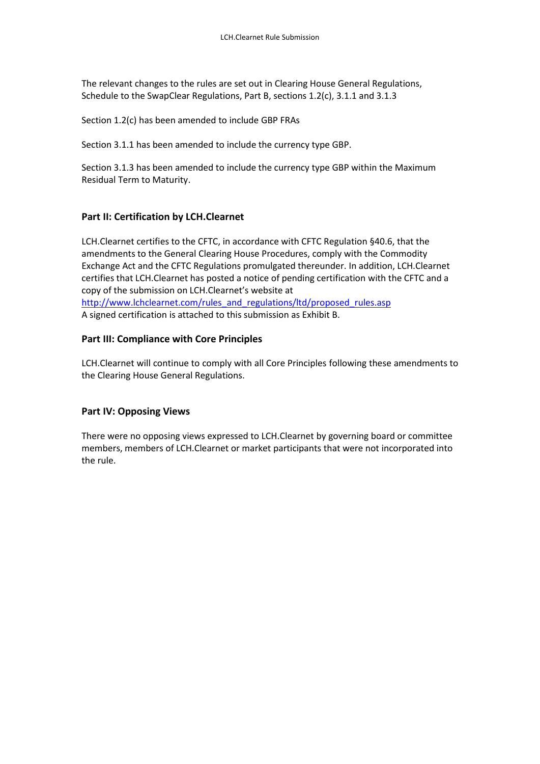The relevant changes to the rules are set out in Clearing House General Regulations, Schedule to the SwapClear Regulations, Part B, sections 1.2(c), 3.1.1 and 3.1.3

Section 1.2(c) has been amended to include GBP FRAs

Section 3.1.1 has been amended to include the currency type GBP.

Section 3.1.3 has been amended to include the currency type GBP within the Maximum Residual Term to Maturity.

#### **Part II: Certification by LCH.Clearnet**

LCH.Clearnet certifies to the CFTC, in accordance with CFTC Regulation §40.6, that the amendments to the General Clearing House Procedures, comply with the Commodity Exchange Act and the CFTC Regulations promulgated thereunder. In addition, LCH.Clearnet certifies that LCH.Clearnet has posted a notice of pending certification with the CFTC and a copy of the submission on LCH.Clearnet's website at [http://www.lchclearnet.com/rules\\_and\\_regulations/ltd/proposed\\_rules.asp](http://www.lchclearnet.com/rules_and_regulations/ltd/proposed_rules.asp) A signed certification is attached to this submission as Exhibit B.

#### **Part III: Compliance with Core Principles**

LCH.Clearnet will continue to comply with all Core Principles following these amendments to the Clearing House General Regulations.

#### **Part IV: Opposing Views**

There were no opposing views expressed to LCH.Clearnet by governing board or committee members, members of LCH.Clearnet or market participants that were not incorporated into the rule.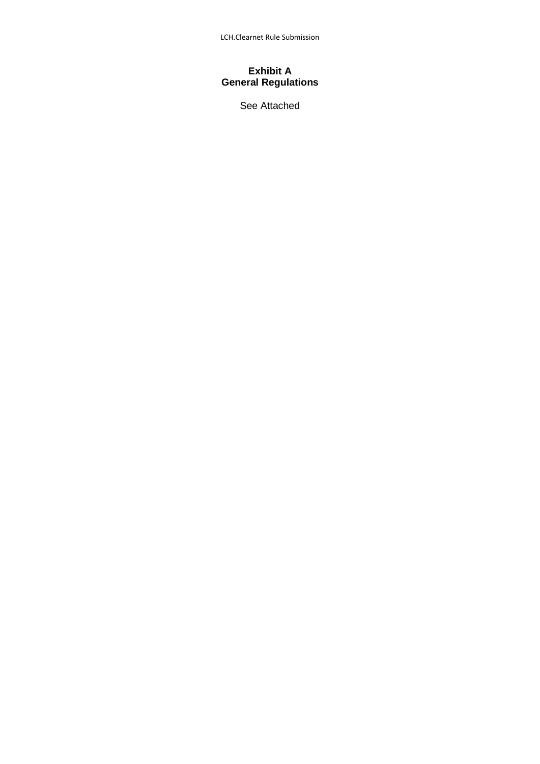LCH.Clearnet Rule Submission

#### **Exhibit A General Regulations**

See Attached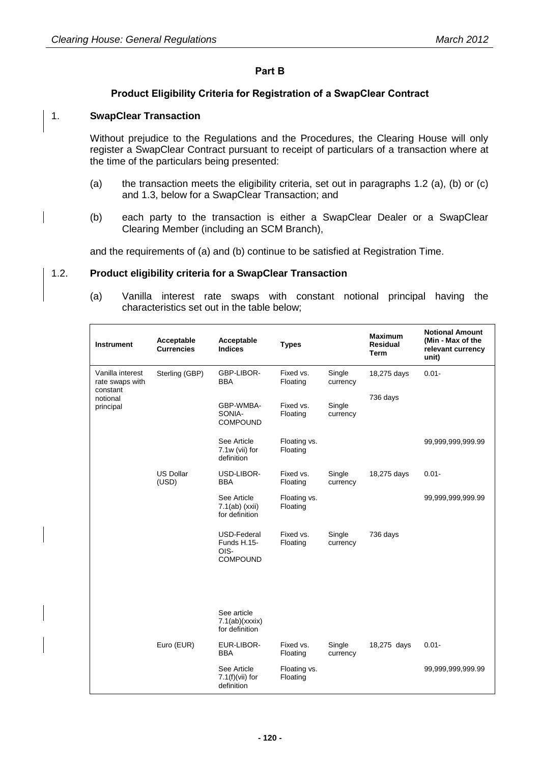#### **Part B**

#### **Product Eligibility Criteria for Registration of a SwapClear Contract**

#### 1. **SwapClear Transaction**

Without prejudice to the Regulations and the Procedures, the Clearing House will only register a SwapClear Contract pursuant to receipt of particulars of a transaction where at the time of the particulars being presented:

- (a) the transaction meets the eligibility criteria, set out in paragraphs [1.2](#page-5-0) (a), (b) or (c) and 1.3, below for a SwapClear Transaction; and
- (b) each party to the transaction is either a SwapClear Dealer or a SwapClear Clearing Member (including an SCM Branch),

and the requirements of (a) and (b) continue to be satisfied at Registration Time.

#### <span id="page-5-0"></span>1.2. **Product eligibility criteria for a SwapClear Transaction**

(a) Vanilla interest rate swaps with constant notional principal having the characteristics set out in the table below;

| <b>Instrument</b>                               | Acceptable<br><b>Currencies</b> | Acceptable<br><b>Indices</b>                          | <b>Types</b>             |                    | <b>Maximum</b><br>Residual<br>Term | <b>Notional Amount</b><br>(Min - Max of the<br>relevant currency<br>unit) |
|-------------------------------------------------|---------------------------------|-------------------------------------------------------|--------------------------|--------------------|------------------------------------|---------------------------------------------------------------------------|
| Vanilla interest<br>rate swaps with<br>constant | Sterling (GBP)                  | GBP-LIBOR-<br><b>BBA</b>                              | Fixed vs.<br>Floating    | Single<br>currency | 18,275 days                        | $0.01 -$                                                                  |
| notional<br>principal                           |                                 | GBP-WMBA-<br>SONIA-<br><b>COMPOUND</b>                | Fixed vs.<br>Floating    | Single<br>currency | 736 days                           |                                                                           |
|                                                 |                                 | See Article<br>7.1w (vii) for<br>definition           | Floating vs.<br>Floating |                    |                                    | 99,999,999,999.99                                                         |
|                                                 | <b>US Dollar</b><br>(USD)       | USD-LIBOR-<br>BBA                                     | Fixed vs.<br>Floating    | Single<br>currency | 18,275 days                        | $0.01 -$                                                                  |
|                                                 |                                 | See Article<br>$7.1(ab)$ (xxii)<br>for definition     | Floating vs.<br>Floating |                    |                                    | 99,999,999,999.99                                                         |
|                                                 |                                 | USD-Federal<br>Funds H.15-<br>OIS-<br><b>COMPOUND</b> | Fixed vs.<br>Floating    | Single<br>currency | 736 days                           |                                                                           |
|                                                 |                                 | See article<br>7.1(ab)(xxxix)<br>for definition       |                          |                    |                                    |                                                                           |
|                                                 | Euro (EUR)                      | EUR-LIBOR-<br><b>BBA</b>                              | Fixed vs.<br>Floating    | Single<br>currency | 18,275 days                        | $0.01 -$                                                                  |
|                                                 |                                 | See Article<br>$7.1(f)(vii)$ for<br>definition        | Floating vs.<br>Floating |                    |                                    | 99,999,999,999.99                                                         |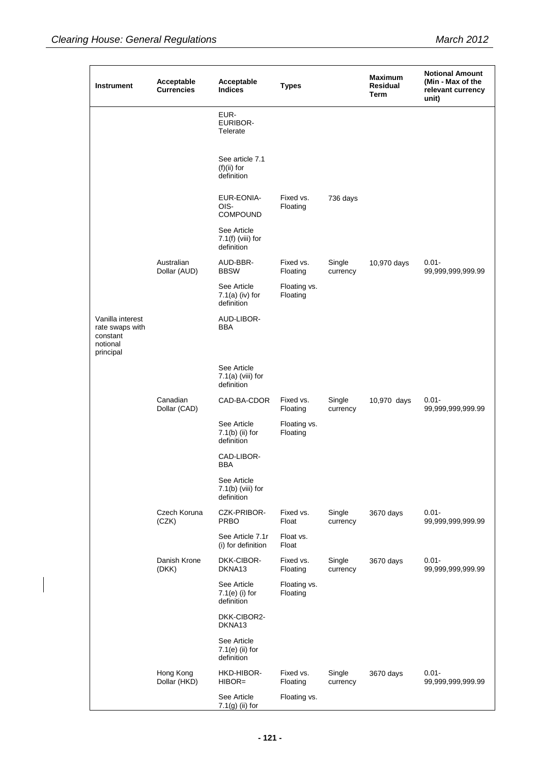| <b>Instrument</b>                                                        | Acceptable<br><b>Currencies</b> | Acceptable<br><b>Indices</b>                     | <b>Types</b>             |                    | <b>Maximum</b><br>Residual<br>Term | <b>Notional Amount</b><br>(Min - Max of the<br>relevant currency<br>unit) |
|--------------------------------------------------------------------------|---------------------------------|--------------------------------------------------|--------------------------|--------------------|------------------------------------|---------------------------------------------------------------------------|
|                                                                          |                                 | EUR-<br>EURIBOR-<br>Telerate                     |                          |                    |                                    |                                                                           |
|                                                                          |                                 | See article 7.1<br>$(f)(ii)$ for<br>definition   |                          |                    |                                    |                                                                           |
|                                                                          |                                 | EUR-EONIA-<br>OIS-<br><b>COMPOUND</b>            | Fixed vs.<br>Floating    | 736 days           |                                    |                                                                           |
|                                                                          |                                 | See Article<br>$7.1(f)$ (viii) for<br>definition |                          |                    |                                    |                                                                           |
|                                                                          | Australian<br>Dollar (AUD)      | AUD-BBR-<br><b>BBSW</b>                          | Fixed vs.<br>Floating    | Single<br>currency | 10,970 days                        | $0.01 -$<br>99,999,999,999.99                                             |
|                                                                          |                                 | See Article<br>$7.1(a)$ (iv) for<br>definition   | Floating vs.<br>Floating |                    |                                    |                                                                           |
| Vanilla interest<br>rate swaps with<br>constant<br>notional<br>principal |                                 | AUD-LIBOR-<br>BBA                                |                          |                    |                                    |                                                                           |
|                                                                          |                                 | See Article<br>$7.1(a)$ (viii) for<br>definition |                          |                    |                                    |                                                                           |
|                                                                          | Canadian<br>Dollar (CAD)        | CAD-BA-CDOR                                      | Fixed vs.<br>Floating    | Single<br>currency | 10,970 days                        | $0.01 -$<br>99,999,999,999.99                                             |
|                                                                          |                                 | See Article<br>$7.1(b)$ (ii) for<br>definition   | Floating vs.<br>Floating |                    |                                    |                                                                           |
|                                                                          |                                 | CAD-LIBOR-<br>BBA                                |                          |                    |                                    |                                                                           |
|                                                                          |                                 | See Article<br>$7.1(b)$ (viii) for<br>definition |                          |                    |                                    |                                                                           |
|                                                                          | Czech Koruna<br>(CZK)           | <b>CZK-PRIBOR-</b><br><b>PRBO</b>                | Fixed vs.<br>Float       | Single<br>currency | 3670 days                          | $0.01 -$<br>99,999,999,999.99                                             |
|                                                                          |                                 | See Article 7.1r<br>(i) for definition           | Float vs.<br>Float       |                    |                                    |                                                                           |
|                                                                          | Danish Krone<br>(DKK)           | DKK-CIBOR-<br>DKNA13                             | Fixed vs.<br>Floating    | Single<br>currency | 3670 days                          | $0.01 -$<br>99,999,999,999.99                                             |
|                                                                          |                                 | See Article<br>$7.1(e)$ (i) for<br>definition    | Floating vs.<br>Floating |                    |                                    |                                                                           |
|                                                                          |                                 | DKK-CIBOR2-<br>DKNA13                            |                          |                    |                                    |                                                                           |
|                                                                          |                                 | See Article<br>$7.1(e)$ (ii) for<br>definition   |                          |                    |                                    |                                                                           |
|                                                                          | Hong Kong<br>Dollar (HKD)       | HKD-HIBOR-<br>$HIBOR=$                           | Fixed vs.<br>Floating    | Single<br>currency | 3670 days                          | $0.01 -$<br>99,999,999,999.99                                             |
|                                                                          |                                 | See Article<br>$7.1(g)$ (ii) for                 | Floating vs.             |                    |                                    |                                                                           |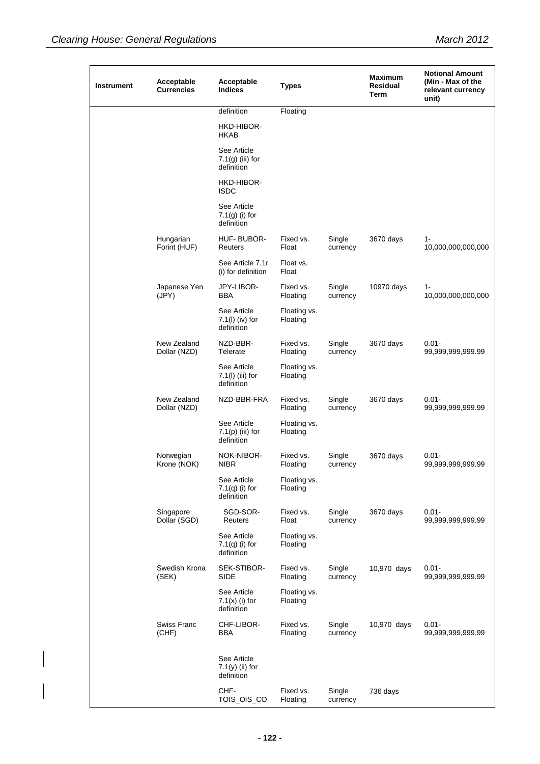| <b>Instrument</b> | Acceptable<br><b>Currencies</b> | Acceptable<br><b>Indices</b>                    | <b>Types</b>             |                    | <b>Maximum</b><br><b>Residual</b><br>Term | <b>Notional Amount</b><br>(Min - Max of the<br>relevant currency<br>unit) |
|-------------------|---------------------------------|-------------------------------------------------|--------------------------|--------------------|-------------------------------------------|---------------------------------------------------------------------------|
|                   |                                 | definition                                      | Floating                 |                    |                                           |                                                                           |
|                   |                                 | HKD-HIBOR-<br><b>HKAB</b>                       |                          |                    |                                           |                                                                           |
|                   |                                 | See Article<br>7.1(g) (iii) for<br>definition   |                          |                    |                                           |                                                                           |
|                   |                                 | HKD-HIBOR-<br><b>ISDC</b>                       |                          |                    |                                           |                                                                           |
|                   |                                 | See Article<br>$7.1(g)$ (i) for<br>definition   |                          |                    |                                           |                                                                           |
|                   | Hungarian<br>Forint (HUF)       | HUF-BUBOR-<br>Reuters                           | Fixed vs.<br>Float       | Single<br>currency | 3670 days                                 | $1 -$<br>10,000,000,000,000                                               |
|                   |                                 | See Article 7.1r<br>(i) for definition          | Float vs.<br>Float       |                    |                                           |                                                                           |
|                   | Japanese Yen<br>(JPY)           | JPY-LIBOR-<br><b>BBA</b>                        | Fixed vs.<br>Floating    | Single<br>currency | 10970 days                                | $1 -$<br>10,000,000,000,000                                               |
|                   |                                 | See Article<br>$7.1(1)$ (iv) for<br>definition  | Floating vs.<br>Floating |                    |                                           |                                                                           |
|                   | New Zealand<br>Dollar (NZD)     | NZD-BBR-<br>Telerate                            | Fixed vs.<br>Floating    | Single<br>currency | 3670 days                                 | $0.01 -$<br>99,999,999,999.99                                             |
|                   |                                 | See Article<br>7.1(l) (iii) for<br>definition   | Floating vs.<br>Floating |                    |                                           |                                                                           |
|                   | New Zealand<br>Dollar (NZD)     | NZD-BBR-FRA                                     | Fixed vs.<br>Floating    | Single<br>currency | 3670 days                                 | $0.01 -$<br>99,999,999,999.99                                             |
|                   |                                 | See Article<br>$7.1(p)$ (iii) for<br>definition | Floating vs.<br>Floating |                    |                                           |                                                                           |
|                   | Norwegian<br>Krone (NOK)        | NOK-NIBOR-<br>NIBR                              | Fixed vs.<br>Floating    | Single<br>currency | 3670 days                                 | $0.01 -$<br>99,999,999,999.99                                             |
|                   |                                 | See Article<br>$7.1(q)$ (i) for<br>definition   | Floating vs.<br>Floating |                    |                                           |                                                                           |
|                   | Singapore<br>Dollar (SGD)       | SGD-SOR-<br>Reuters                             | Fixed vs.<br>Float       | Single<br>currency | 3670 days                                 | $0.01 -$<br>99,999,999,999.99                                             |
|                   |                                 | See Article<br>$7.1(q)$ (i) for<br>definition   | Floating vs.<br>Floating |                    |                                           |                                                                           |
|                   | Swedish Krona<br>(SEK)          | SEK-STIBOR-<br>SIDE                             | Fixed vs.<br>Floating    | Single<br>currency | 10,970 days                               | $0.01 -$<br>99,999,999,999.99                                             |
|                   |                                 | See Article<br>$7.1(x)$ (i) for<br>definition   | Floating vs.<br>Floating |                    |                                           |                                                                           |
|                   | Swiss Franc<br>(CHF)            | CHF-LIBOR-<br>BBA                               | Fixed vs.<br>Floating    | Single<br>currency | 10,970 days                               | $0.01 -$<br>99,999,999,999.99                                             |
|                   |                                 | See Article<br>$7.1(y)$ (ii) for<br>definition  |                          |                    |                                           |                                                                           |
|                   |                                 | CHF-<br>TOIS_OIS_CO                             | Fixed vs.<br>Floating    | Single<br>currency | 736 days                                  |                                                                           |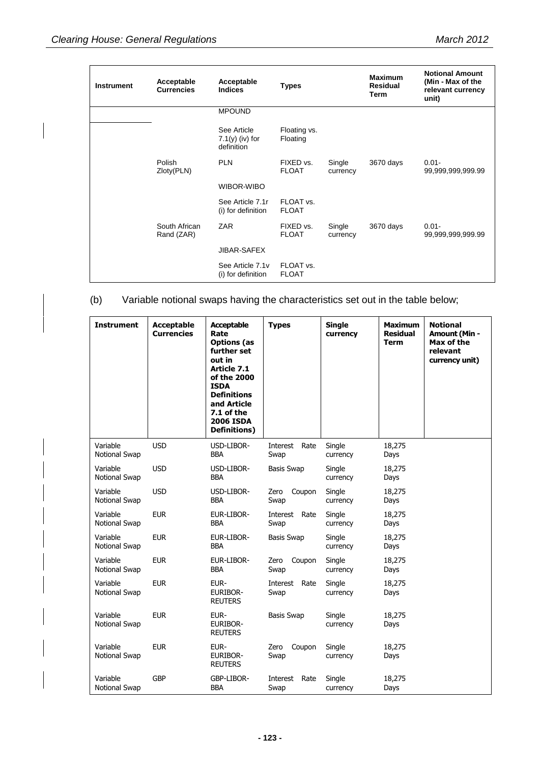| <b>Instrument</b> | Acceptable<br><b>Currencies</b> | Acceptable<br><b>Indices</b>                   | <b>Types</b>              |                    | <b>Maximum</b><br><b>Residual</b><br>Term | <b>Notional Amount</b><br>(Min - Max of the<br>relevant currency<br>unit) |
|-------------------|---------------------------------|------------------------------------------------|---------------------------|--------------------|-------------------------------------------|---------------------------------------------------------------------------|
|                   |                                 | <b>MPOUND</b>                                  |                           |                    |                                           |                                                                           |
|                   |                                 | See Article<br>$7.1(y)$ (iv) for<br>definition | Floating vs.<br>Floating  |                    |                                           |                                                                           |
|                   | Polish<br>Zloty(PLN)            | <b>PLN</b>                                     | FIXED vs.<br><b>FLOAT</b> | Single<br>currency | 3670 days                                 | $0.01 -$<br>99,999,999,999.99                                             |
|                   |                                 | WIBOR-WIBO                                     |                           |                    |                                           |                                                                           |
|                   |                                 | See Article 7.1r<br>(i) for definition         | FLOAT vs.<br><b>FLOAT</b> |                    |                                           |                                                                           |
|                   | South African<br>Rand (ZAR)     | ZAR                                            | FIXED vs.<br><b>FLOAT</b> | Single<br>currency | 3670 days                                 | $0.01 -$<br>99,999,999,999.99                                             |
|                   |                                 | <b>JIBAR-SAFEX</b>                             |                           |                    |                                           |                                                                           |
|                   |                                 | See Article 7.1v<br>(i) for definition         | FLOAT vs.<br><b>FLOAT</b> |                    |                                           |                                                                           |

## (b) Variable notional swaps having the characteristics set out in the table below;

| <b>Instrument</b>         | <b>Acceptable</b><br><b>Currencies</b> | <b>Acceptable</b><br>Rate<br><b>Options (as</b><br>further set<br>out in<br>Article 7.1<br>of the 2000<br><b>ISDA</b><br><b>Definitions</b><br>and Article<br>7.1 of the<br><b>2006 ISDA</b><br><b>Definitions</b> ) | <b>Types</b>             | <b>Single</b><br>currency | <b>Maximum</b><br><b>Residual</b><br><b>Term</b> | <b>Notional</b><br><b>Amount (Min -</b><br>Max of the<br>relevant<br>currency unit) |
|---------------------------|----------------------------------------|----------------------------------------------------------------------------------------------------------------------------------------------------------------------------------------------------------------------|--------------------------|---------------------------|--------------------------------------------------|-------------------------------------------------------------------------------------|
| Variable<br>Notional Swap | <b>USD</b>                             | USD-LIBOR-<br>BBA                                                                                                                                                                                                    | Interest<br>Rate<br>Swap | Single<br>currency        | 18,275<br>Days                                   |                                                                                     |
| Variable<br>Notional Swap | <b>USD</b>                             | USD-LIBOR-<br><b>BBA</b>                                                                                                                                                                                             | <b>Basis Swap</b>        | Single<br>currency        | 18,275<br>Days                                   |                                                                                     |
| Variable<br>Notional Swap | <b>USD</b>                             | USD-LIBOR-<br><b>BBA</b>                                                                                                                                                                                             | Coupon<br>Zero<br>Swap   | Single<br>currency        | 18,275<br>Days                                   |                                                                                     |
| Variable<br>Notional Swap | <b>EUR</b>                             | EUR-LIBOR-<br><b>BBA</b>                                                                                                                                                                                             | Rate<br>Interest<br>Swap | Single<br>currency        | 18,275<br>Days                                   |                                                                                     |
| Variable<br>Notional Swap | <b>EUR</b>                             | EUR-LIBOR-<br><b>BBA</b>                                                                                                                                                                                             | <b>Basis Swap</b>        | Single<br>currency        | 18,275<br>Days                                   |                                                                                     |
| Variable<br>Notional Swap | <b>EUR</b>                             | EUR-LIBOR-<br><b>BBA</b>                                                                                                                                                                                             | Zero<br>Coupon<br>Swap   | Single<br>currency        | 18,275<br>Days                                   |                                                                                     |
| Variable<br>Notional Swap | <b>EUR</b>                             | EUR-<br><b>EURIBOR-</b><br><b>REUTERS</b>                                                                                                                                                                            | Rate<br>Interest<br>Swap | Single<br>currency        | 18,275<br>Days                                   |                                                                                     |
| Variable<br>Notional Swap | <b>EUR</b>                             | EUR-<br><b>EURIBOR-</b><br><b>REUTERS</b>                                                                                                                                                                            | <b>Basis Swap</b>        | Single<br>currency        | 18,275<br>Days                                   |                                                                                     |
| Variable<br>Notional Swap | <b>EUR</b>                             | EUR-<br><b>EURIBOR-</b><br><b>REUTERS</b>                                                                                                                                                                            | Zero<br>Coupon<br>Swap   | Single<br>currency        | 18,275<br>Days                                   |                                                                                     |
| Variable<br>Notional Swap | <b>GBP</b>                             | GBP-LIBOR-<br><b>BBA</b>                                                                                                                                                                                             | Rate<br>Interest<br>Swap | Single<br>currency        | 18,275<br>Days                                   |                                                                                     |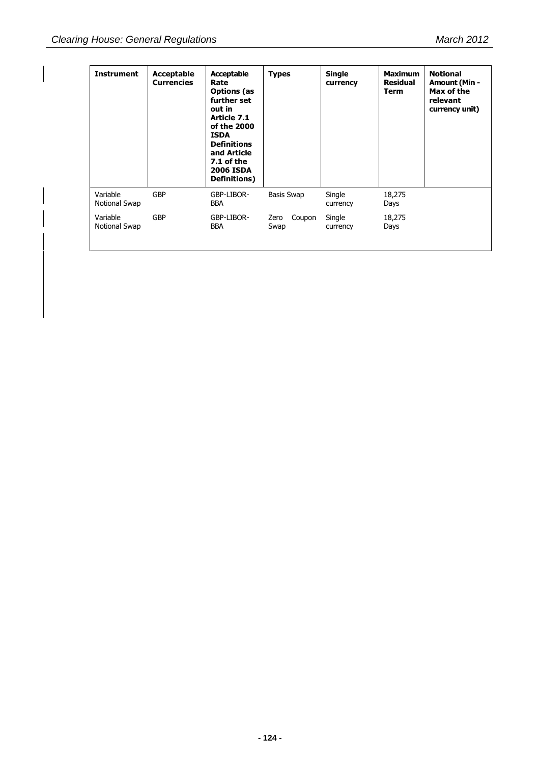| <b>Instrument</b>         | Acceptable<br><b>Currencies</b> | Acceptable<br>Rate<br><b>Options</b> (as<br>further set<br>out in<br>Article 7.1<br>of the 2000<br><b>ISDA</b><br><b>Definitions</b><br>and Article<br>7.1 of the<br><b>2006 ISDA</b><br>Definitions) | <b>Types</b>           | <b>Single</b><br>currency | <b>Maximum</b><br><b>Residual</b><br><b>Term</b> | <b>Notional</b><br><b>Amount (Min -</b><br>Max of the<br>relevant<br>currency unit) |
|---------------------------|---------------------------------|-------------------------------------------------------------------------------------------------------------------------------------------------------------------------------------------------------|------------------------|---------------------------|--------------------------------------------------|-------------------------------------------------------------------------------------|
| Variable<br>Notional Swap | <b>GBP</b>                      | GBP-LIBOR-<br><b>BBA</b>                                                                                                                                                                              | Basis Swap             | Single<br>currency        | 18,275<br>Days                                   |                                                                                     |
| Variable<br>Notional Swap | <b>GBP</b>                      | GBP-LIBOR-<br><b>BBA</b>                                                                                                                                                                              | Coupon<br>Zero<br>Swap | Single<br>currency        | 18,275<br>Days                                   |                                                                                     |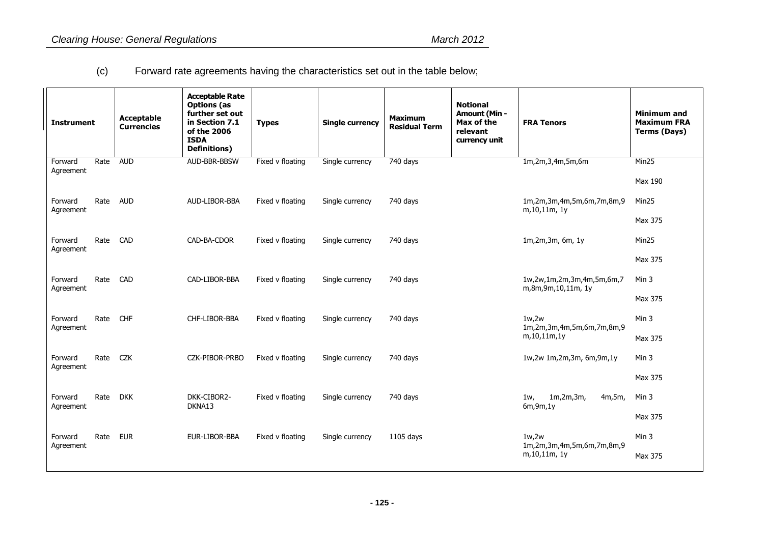(c) Forward rate agreements having the characteristics set out in the table below;

| <b>Instrument</b>    |      | <b>Acceptable</b><br><b>Currencies</b> | <b>Acceptable Rate</b><br><b>Options</b> (as<br>further set out<br>in Section 7.1<br>of the 2006<br><b>ISDA</b><br><b>Definitions)</b> | <b>Types</b>     | <b>Single currency</b> | <b>Maximum</b><br><b>Residual Term</b> | <b>Notional</b><br><b>Amount (Min -</b><br>Max of the<br>relevant<br>currency unit | <b>FRA Tenors</b>                                      | <b>Minimum and</b><br><b>Maximum FRA</b><br><b>Terms (Days)</b> |
|----------------------|------|----------------------------------------|----------------------------------------------------------------------------------------------------------------------------------------|------------------|------------------------|----------------------------------------|------------------------------------------------------------------------------------|--------------------------------------------------------|-----------------------------------------------------------------|
| Forward<br>Agreement | Rate | <b>AUD</b>                             | AUD-BBR-BBSW                                                                                                                           | Fixed v floating | Single currency        | 740 days                               |                                                                                    | 1m,2m,3,4m,5m,6m                                       | Min25<br>Max 190                                                |
| Forward<br>Agreement | Rate | <b>AUD</b>                             | AUD-LIBOR-BBA                                                                                                                          | Fixed v floating | Single currency        | 740 days                               |                                                                                    | 1m,2m,3m,4m,5m,6m,7m,8m,9<br>m, 10, 11m, 1y            | Min25                                                           |
| Forward<br>Agreement | Rate | CAD                                    | CAD-BA-CDOR                                                                                                                            | Fixed v floating | Single currency        | 740 days                               |                                                                                    | 1m,2m,3m, 6m, 1y                                       | Max 375<br>Min25                                                |
|                      |      |                                        |                                                                                                                                        |                  |                        |                                        |                                                                                    |                                                        | Max 375                                                         |
| Forward<br>Agreement | Rate | CAD                                    | CAD-LIBOR-BBA                                                                                                                          | Fixed v floating | Single currency        | 740 days                               |                                                                                    | 1w,2w,1m,2m,3m,4m,5m,6m,7<br>m,8m,9m,10,11m, 1y        | Min 3<br>Max 375                                                |
| Forward<br>Agreement | Rate | <b>CHF</b>                             | CHF-LIBOR-BBA                                                                                                                          | Fixed v floating | Single currency        | 740 days                               |                                                                                    | 1w, 2w<br>1m,2m,3m,4m,5m,6m,7m,8m,9                    | Min 3                                                           |
|                      |      |                                        |                                                                                                                                        |                  |                        |                                        |                                                                                    | m, 10, 11m, 1y                                         | Max 375                                                         |
| Forward<br>Agreement | Rate | <b>CZK</b>                             | CZK-PIBOR-PRBO                                                                                                                         | Fixed v floating | Single currency        | 740 days                               |                                                                                    | 1w,2w 1m,2m,3m, 6m,9m,1y                               | Min 3<br>Max 375                                                |
| Forward<br>Agreement | Rate | <b>DKK</b>                             | DKK-CIBOR2-<br>DKNA13                                                                                                                  | Fixed v floating | Single currency        | 740 days                               |                                                                                    | 1m, 2m, 3m,<br>4m,5m,<br>1w <sub>r</sub><br>6m, 9m, 1y | Min 3                                                           |
|                      |      |                                        |                                                                                                                                        |                  |                        |                                        |                                                                                    |                                                        | Max 375                                                         |
| Forward<br>Agreement | Rate | <b>EUR</b>                             | EUR-LIBOR-BBA                                                                                                                          | Fixed v floating | Single currency        | $1105$ days                            |                                                                                    | 1w, 2w<br>1m,2m,3m,4m,5m,6m,7m,8m,9                    | Min 3                                                           |
|                      |      |                                        |                                                                                                                                        |                  |                        |                                        |                                                                                    | m, 10, 11m, 1y                                         | Max 375                                                         |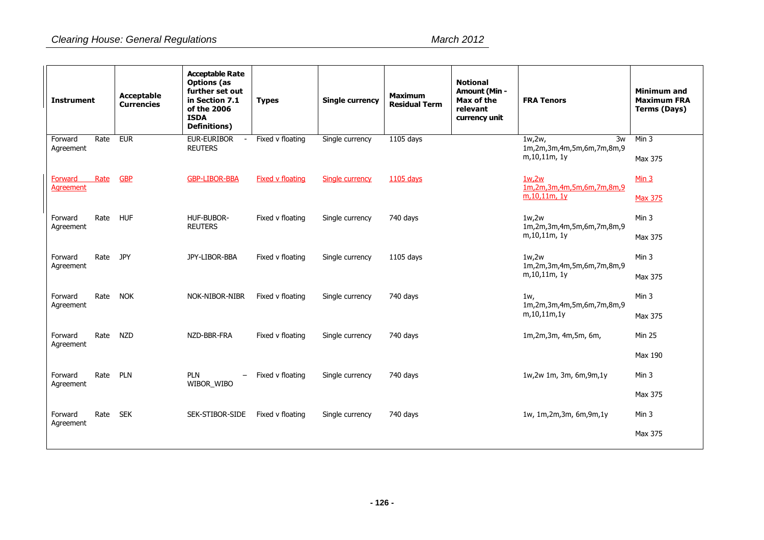| <b>Instrument</b>                   | <b>Acceptable</b><br><b>Currencies</b> | <b>Acceptable Rate</b><br><b>Options</b> (as<br>further set out<br>in Section 7.1<br>of the 2006<br><b>ISDA</b><br><b>Definitions)</b> | <b>Types</b>            | <b>Single currency</b> | <b>Maximum</b><br><b>Residual Term</b> | <b>Notional</b><br><b>Amount (Min -</b><br>Max of the<br>relevant<br>currency unit | <b>FRA Tenors</b>                                           | <b>Minimum and</b><br><b>Maximum FRA</b><br><b>Terms (Days)</b> |
|-------------------------------------|----------------------------------------|----------------------------------------------------------------------------------------------------------------------------------------|-------------------------|------------------------|----------------------------------------|------------------------------------------------------------------------------------|-------------------------------------------------------------|-----------------------------------------------------------------|
| Rate<br>Forward<br>Agreement        | <b>EUR</b>                             | <b>EUR-EURIBOR</b><br><b>REUTERS</b>                                                                                                   | Fixed v floating        | Single currency        | 1105 days                              |                                                                                    | 1w, 2w<br>3w<br>1m,2m,3m,4m,5m,6m,7m,8m,9<br>m, 10, 11m, 1y | Min 3<br>Max 375                                                |
| Forward<br>Rate<br><b>Agreement</b> | <b>GBP</b>                             | <b>GBP-LIBOR-BBA</b>                                                                                                                   | <b>Fixed v floating</b> | Single currency        | 1105 days                              |                                                                                    | 1w, 2w<br>1m,2m,3m,4m,5m,6m,7m,8m,9<br>m.10.11m. 1y         | Min <sub>3</sub><br><b>Max 375</b>                              |
| Rate<br>Forward<br>Agreement        | <b>HUF</b>                             | HUF-BUBOR-<br><b>REUTERS</b>                                                                                                           | Fixed v floating        | Single currency        | 740 days                               |                                                                                    | 1w.2w<br>1m,2m,3m,4m,5m,6m,7m,8m,9<br>m, 10, 11m, 1y        | Min 3<br>Max 375                                                |
| Rate<br>Forward<br>Agreement        | <b>JPY</b>                             | JPY-LIBOR-BBA                                                                                                                          | Fixed v floating        | Single currency        | $1105$ days                            |                                                                                    | 1w.2w<br>1m,2m,3m,4m,5m,6m,7m,8m,9<br>m, 10, 11m, 1y        | Min 3<br>Max 375                                                |
| Rate<br>Forward<br>Agreement        | <b>NOK</b>                             | NOK-NIBOR-NIBR                                                                                                                         | Fixed v floating        | Single currency        | 740 days                               |                                                                                    | 1w,<br>1m,2m,3m,4m,5m,6m,7m,8m,9<br>m, 10, 11m, 1y          | Min 3<br>Max 375                                                |
| Rate<br>Forward<br>Agreement        | <b>NZD</b>                             | NZD-BBR-FRA                                                                                                                            | Fixed v floating        | Single currency        | 740 days                               |                                                                                    | 1m,2m,3m, 4m,5m, 6m,                                        | <b>Min 25</b>                                                   |
| Rate<br>Forward<br>Agreement        | <b>PLN</b>                             | <b>PLN</b><br>$\qquad \qquad =$<br>WIBOR_WIBO                                                                                          | Fixed v floating        | Single currency        | 740 days                               |                                                                                    | 1w,2w 1m, 3m, 6m,9m,1y                                      | Max 190<br>Min 3                                                |
| Rate<br>Forward                     | <b>SEK</b>                             | SEK-STIBOR-SIDE                                                                                                                        | Fixed v floating        | Single currency        | 740 days                               |                                                                                    | 1w, 1m,2m,3m, 6m,9m,1y                                      | Max 375<br>Min 3                                                |
| Agreement                           |                                        |                                                                                                                                        |                         |                        |                                        |                                                                                    |                                                             | Max 375                                                         |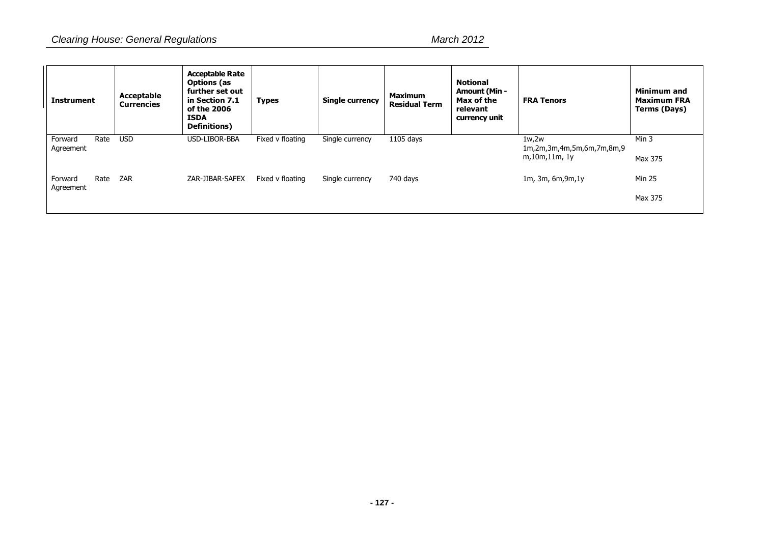| <b>Instrument</b>    |      | Acceptable<br><b>Currencies</b> | <b>Acceptable Rate</b><br><b>Options</b> (as<br>further set out<br>in Section 7.1<br>of the 2006<br><b>ISDA</b><br><b>Definitions</b> ) | <b>Types</b>     | <b>Single currency</b> | <b>Maximum</b><br><b>Residual Term</b> | <b>Notional</b><br><b>Amount (Min -</b><br>Max of the<br>relevant<br>currency unit | <b>FRA Tenors</b>                                   | <b>Minimum and</b><br><b>Maximum FRA</b><br>Terms (Days) |
|----------------------|------|---------------------------------|-----------------------------------------------------------------------------------------------------------------------------------------|------------------|------------------------|----------------------------------------|------------------------------------------------------------------------------------|-----------------------------------------------------|----------------------------------------------------------|
| Forward<br>Agreement | Rate | <b>USD</b>                      | USD-LIBOR-BBA                                                                                                                           | Fixed v floating | Single currency        | 1105 days                              |                                                                                    | 1w,2w<br>1m,2m,3m,4m,5m,6m,7m,8m,9<br>m,10m,11m, 1y | Min 3<br>Max 375                                         |
| Forward<br>Agreement | Rate | ZAR                             | ZAR-JIBAR-SAFEX                                                                                                                         | Fixed v floating | Single currency        | 740 days                               |                                                                                    | $1m$ , $3m$ , $6m$ , $9m$ , $1y$                    | <b>Min 25</b>                                            |
|                      |      |                                 |                                                                                                                                         |                  |                        |                                        |                                                                                    |                                                     | Max 375                                                  |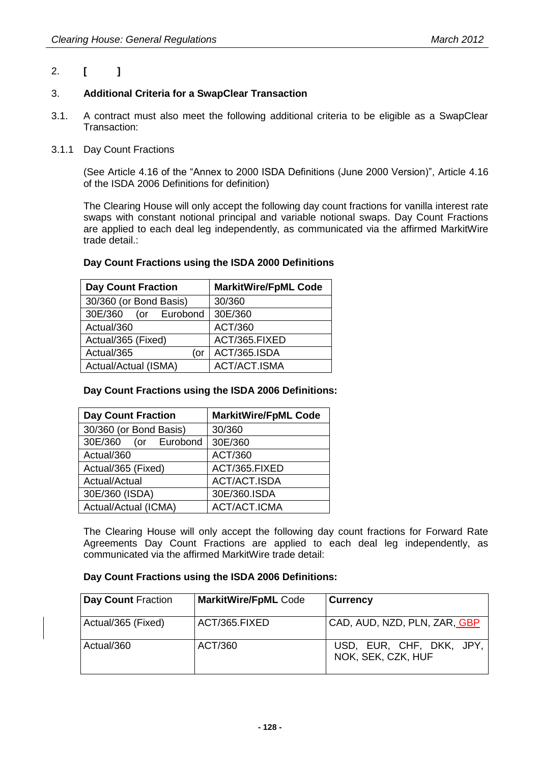## 2. **[ ]**

### 3. **Additional Criteria for a SwapClear Transaction**

- 3.1. A contract must also meet the following additional criteria to be eligible as a SwapClear Transaction:
- 3.1.1 Day Count Fractions

(See Article 4.16 of the "Annex to 2000 ISDA Definitions (June 2000 Version)", Article 4.16 of the ISDA 2006 Definitions for definition)

The Clearing House will only accept the following day count fractions for vanilla interest rate swaps with constant notional principal and variable notional swaps. Day Count Fractions are applied to each deal leg independently, as communicated via the affirmed MarkitWire trade detail.:

#### **Day Count Fractions using the ISDA 2000 Definitions**

| <b>Day Count Fraction</b> | <b>MarkitWire/FpML Code</b> |  |  |
|---------------------------|-----------------------------|--|--|
| 30/360 (or Bond Basis)    | 30/360                      |  |  |
| 30E/360 (or Eurobond      | 30E/360                     |  |  |
| Actual/360                | ACT/360                     |  |  |
| Actual/365 (Fixed)        | ACT/365.FIXED               |  |  |
| Actual/365<br>(or         | ACT/365.ISDA                |  |  |
| Actual/Actual (ISMA)      | ACT/ACT.ISMA                |  |  |

#### **Day Count Fractions using the ISDA 2006 Definitions:**

| <b>Day Count Fraction</b> | <b>MarkitWire/FpML Code</b> |
|---------------------------|-----------------------------|
| 30/360 (or Bond Basis)    | 30/360                      |
| 30E/360 (or Eurobond      | 30E/360                     |
| Actual/360                | ACT/360                     |
| Actual/365 (Fixed)        | ACT/365.FIXED               |
| Actual/Actual             | ACT/ACT.ISDA                |
| 30E/360 (ISDA)            | 30E/360.ISDA                |
| Actual/Actual (ICMA)      | ACT/ACT.ICMA                |

The Clearing House will only accept the following day count fractions for Forward Rate Agreements Day Count Fractions are applied to each deal leg independently, as communicated via the affirmed MarkitWire trade detail:

#### **Day Count Fractions using the ISDA 2006 Definitions:**

| Day Count Fraction | <b>MarkitWire/FpML Code</b> | <b>Currency</b>                                |
|--------------------|-----------------------------|------------------------------------------------|
| Actual/365 (Fixed) | ACT/365.FIXED               | CAD, AUD, NZD, PLN, ZAR, GBP                   |
| Actual/360         | ACT/360                     | USD, EUR, CHF, DKK, JPY,<br>NOK, SEK, CZK, HUF |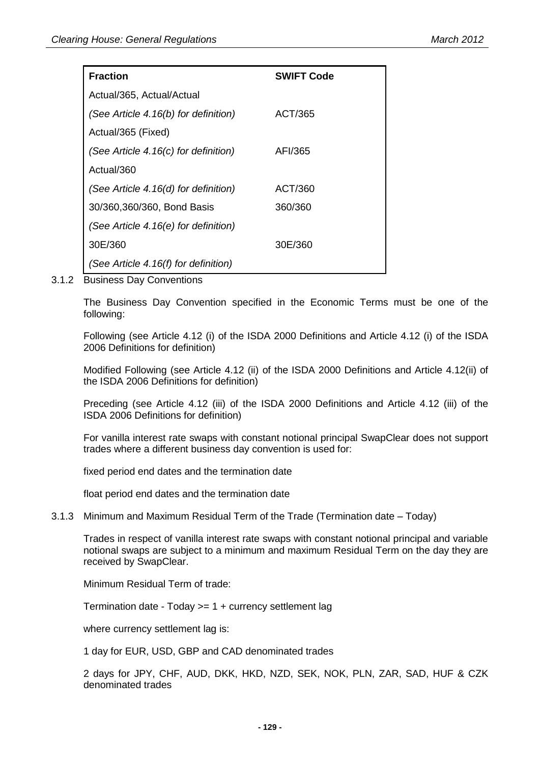| <b>Fraction</b>                      | <b>SWIFT Code</b> |
|--------------------------------------|-------------------|
| Actual/365, Actual/Actual            |                   |
| (See Article 4.16(b) for definition) | ACT/365           |
| Actual/365 (Fixed)                   |                   |
| (See Article 4.16(c) for definition) | AFI/365           |
| Actual/360                           |                   |
| (See Article 4.16(d) for definition) | ACT/360           |
| 30/360,360/360, Bond Basis           | 360/360           |
| (See Article 4.16(e) for definition) |                   |
| 30E/360                              | 30E/360           |
| (See Article 4.16(f) for definition) |                   |

3.1.2 Business Day Conventions

The Business Day Convention specified in the Economic Terms must be one of the following:

Following (see Article 4.12 (i) of the ISDA 2000 Definitions and Article 4.12 (i) of the ISDA 2006 Definitions for definition)

Modified Following (see Article 4.12 (ii) of the ISDA 2000 Definitions and Article 4.12(ii) of the ISDA 2006 Definitions for definition)

Preceding (see Article 4.12 (iii) of the ISDA 2000 Definitions and Article 4.12 (iii) of the ISDA 2006 Definitions for definition)

For vanilla interest rate swaps with constant notional principal SwapClear does not support trades where a different business day convention is used for:

fixed period end dates and the termination date

float period end dates and the termination date

3.1.3 Minimum and Maximum Residual Term of the Trade (Termination date – Today)

Trades in respect of vanilla interest rate swaps with constant notional principal and variable notional swaps are subject to a minimum and maximum Residual Term on the day they are received by SwapClear.

Minimum Residual Term of trade:

Termination date - Today >= 1 + currency settlement lag

where currency settlement lag is:

1 day for EUR, USD, GBP and CAD denominated trades

2 days for JPY, CHF, AUD, DKK, HKD, NZD, SEK, NOK, PLN, ZAR, SAD, HUF & CZK denominated trades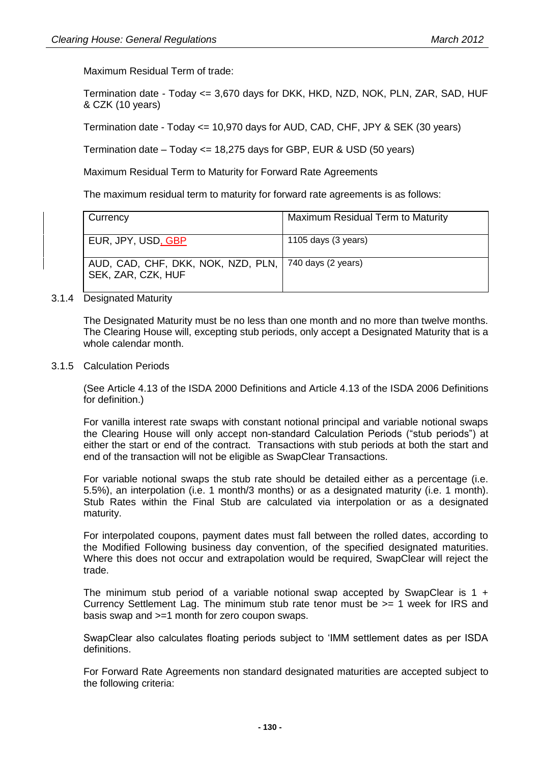Maximum Residual Term of trade:

Termination date - Today <= 3,670 days for DKK, HKD, NZD, NOK, PLN, ZAR, SAD, HUF & CZK (10 years)

Termination date - Today <= 10,970 days for AUD, CAD, CHF, JPY & SEK (30 years)

Termination date – Today <= 18,275 days for GBP, EUR & USD (50 years)

Maximum Residual Term to Maturity for Forward Rate Agreements

The maximum residual term to maturity for forward rate agreements is as follows:

| Currency                                                                      | Maximum Residual Term to Maturity |
|-------------------------------------------------------------------------------|-----------------------------------|
| EUR, JPY, USD <u>, GBP</u>                                                    | 1105 days (3 years)               |
| AUD, CAD, CHF, DKK, NOK, NZD, PLN,   740 days (2 years)<br>SEK, ZAR, CZK, HUF |                                   |

#### 3.1.4 Designated Maturity

The Designated Maturity must be no less than one month and no more than twelve months. The Clearing House will, excepting stub periods, only accept a Designated Maturity that is a whole calendar month.

#### 3.1.5 Calculation Periods

(See Article 4.13 of the ISDA 2000 Definitions and Article 4.13 of the ISDA 2006 Definitions for definition.)

For vanilla interest rate swaps with constant notional principal and variable notional swaps the Clearing House will only accept non-standard Calculation Periods ("stub periods") at either the start or end of the contract. Transactions with stub periods at both the start and end of the transaction will not be eligible as SwapClear Transactions.

For variable notional swaps the stub rate should be detailed either as a percentage (i.e. 5.5%), an interpolation (i.e. 1 month/3 months) or as a designated maturity (i.e. 1 month). Stub Rates within the Final Stub are calculated via interpolation or as a designated maturity.

For interpolated coupons, payment dates must fall between the rolled dates, according to the Modified Following business day convention, of the specified designated maturities. Where this does not occur and extrapolation would be required, SwapClear will reject the trade.

The minimum stub period of a variable notional swap accepted by SwapClear is  $1 +$ Currency Settlement Lag. The minimum stub rate tenor must be >= 1 week for IRS and basis swap and >=1 month for zero coupon swaps.

SwapClear also calculates floating periods subject to "IMM settlement dates as per ISDA definitions.

For Forward Rate Agreements non standard designated maturities are accepted subject to the following criteria: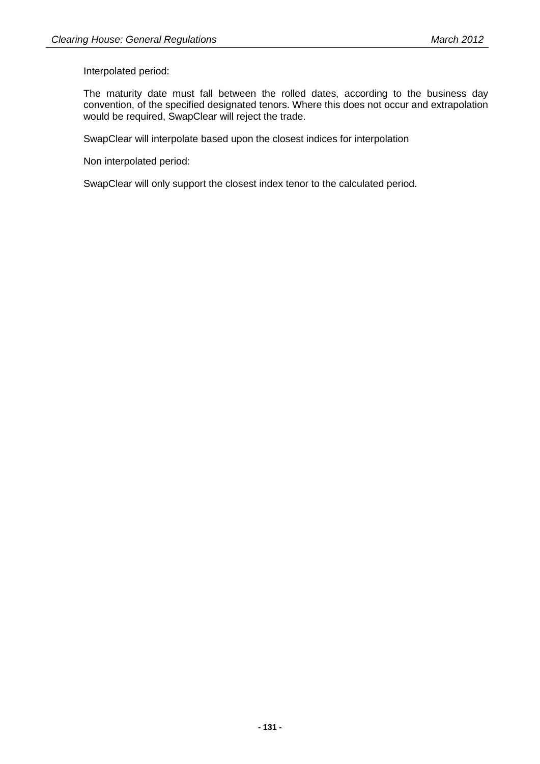Interpolated period:

The maturity date must fall between the rolled dates, according to the business day convention, of the specified designated tenors. Where this does not occur and extrapolation would be required, SwapClear will reject the trade.

SwapClear will interpolate based upon the closest indices for interpolation

Non interpolated period:

SwapClear will only support the closest index tenor to the calculated period.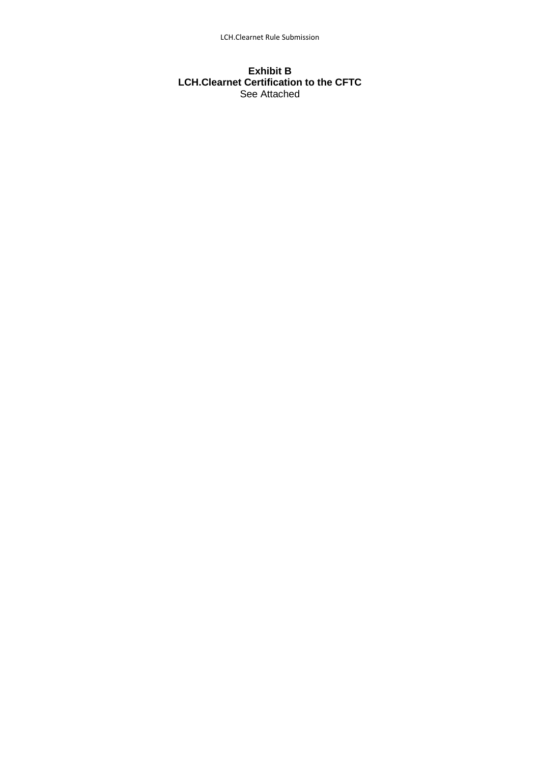#### **Exhibit B LCH.Clearnet Certification to the CFTC** See Attached